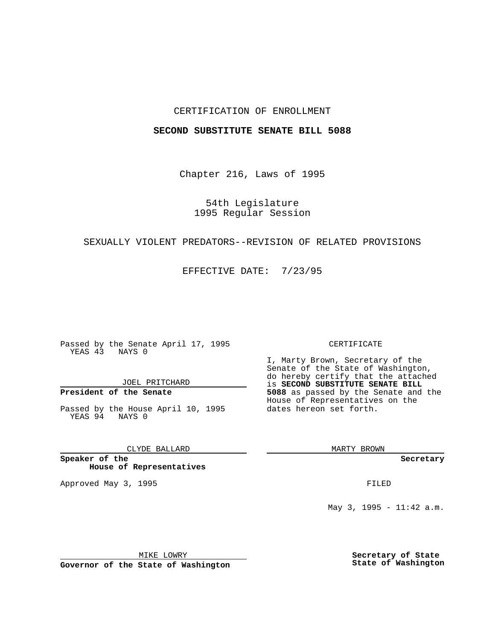## CERTIFICATION OF ENROLLMENT

#### **SECOND SUBSTITUTE SENATE BILL 5088**

Chapter 216, Laws of 1995

54th Legislature 1995 Regular Session

## SEXUALLY VIOLENT PREDATORS--REVISION OF RELATED PROVISIONS

EFFECTIVE DATE: 7/23/95

Passed by the Senate April 17, 1995 YEAS 43 NAYS 0

JOEL PRITCHARD

# **President of the Senate**

Passed by the House April 10, 1995 YEAS 94 NAYS 0

CLYDE BALLARD

**Speaker of the House of Representatives**

Approved May 3, 1995 **FILED** 

#### CERTIFICATE

I, Marty Brown, Secretary of the Senate of the State of Washington, do hereby certify that the attached is **SECOND SUBSTITUTE SENATE BILL 5088** as passed by the Senate and the House of Representatives on the dates hereon set forth.

MARTY BROWN

**Secretary**

May 3, 1995 - 11:42 a.m.

MIKE LOWRY

**Governor of the State of Washington**

**Secretary of State State of Washington**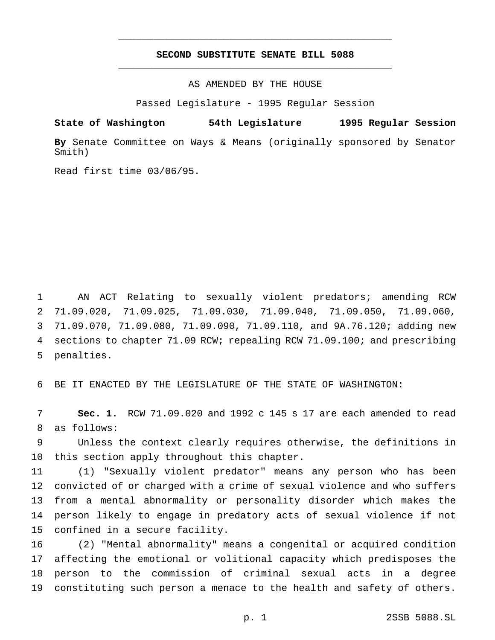## **SECOND SUBSTITUTE SENATE BILL 5088** \_\_\_\_\_\_\_\_\_\_\_\_\_\_\_\_\_\_\_\_\_\_\_\_\_\_\_\_\_\_\_\_\_\_\_\_\_\_\_\_\_\_\_\_\_\_\_

\_\_\_\_\_\_\_\_\_\_\_\_\_\_\_\_\_\_\_\_\_\_\_\_\_\_\_\_\_\_\_\_\_\_\_\_\_\_\_\_\_\_\_\_\_\_\_

AS AMENDED BY THE HOUSE

Passed Legislature - 1995 Regular Session

**State of Washington 54th Legislature 1995 Regular Session**

**By** Senate Committee on Ways & Means (originally sponsored by Senator Smith)

Read first time 03/06/95.

 AN ACT Relating to sexually violent predators; amending RCW 71.09.020, 71.09.025, 71.09.030, 71.09.040, 71.09.050, 71.09.060, 71.09.070, 71.09.080, 71.09.090, 71.09.110, and 9A.76.120; adding new sections to chapter 71.09 RCW; repealing RCW 71.09.100; and prescribing penalties.

BE IT ENACTED BY THE LEGISLATURE OF THE STATE OF WASHINGTON:

 **Sec. 1.** RCW 71.09.020 and 1992 c 145 s 17 are each amended to read as follows:

 Unless the context clearly requires otherwise, the definitions in this section apply throughout this chapter.

 (1) "Sexually violent predator" means any person who has been convicted of or charged with a crime of sexual violence and who suffers from a mental abnormality or personality disorder which makes the 14 person likely to engage in predatory acts of sexual violence if not confined in a secure facility.

 (2) "Mental abnormality" means a congenital or acquired condition affecting the emotional or volitional capacity which predisposes the person to the commission of criminal sexual acts in a degree constituting such person a menace to the health and safety of others.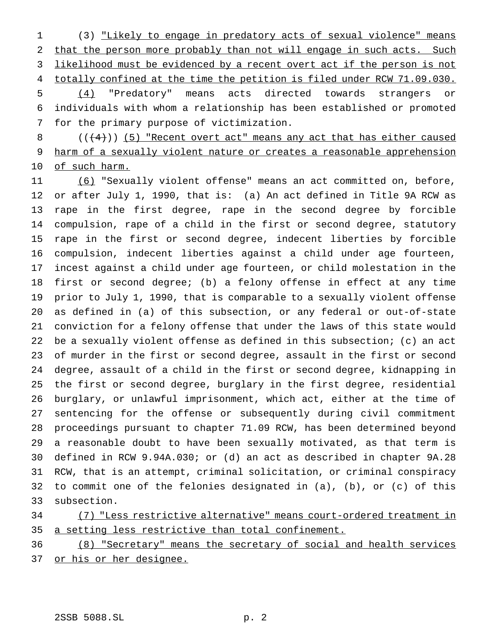(3) "Likely to engage in predatory acts of sexual violence" means that the person more probably than not will engage in such acts. Such likelihood must be evidenced by a recent overt act if the person is not 4 totally confined at the time the petition is filed under RCW 71.09.030. (4) "Predatory" means acts directed towards strangers or individuals with whom a relationship has been established or promoted for the primary purpose of victimization.

8  $((+4))$  (5) "Recent overt act" means any act that has either caused harm of a sexually violent nature or creates a reasonable apprehension 10 of such harm.

 (6) "Sexually violent offense" means an act committed on, before, or after July 1, 1990, that is: (a) An act defined in Title 9A RCW as rape in the first degree, rape in the second degree by forcible compulsion, rape of a child in the first or second degree, statutory rape in the first or second degree, indecent liberties by forcible compulsion, indecent liberties against a child under age fourteen, incest against a child under age fourteen, or child molestation in the first or second degree; (b) a felony offense in effect at any time prior to July 1, 1990, that is comparable to a sexually violent offense as defined in (a) of this subsection, or any federal or out-of-state conviction for a felony offense that under the laws of this state would be a sexually violent offense as defined in this subsection; (c) an act of murder in the first or second degree, assault in the first or second degree, assault of a child in the first or second degree, kidnapping in the first or second degree, burglary in the first degree, residential burglary, or unlawful imprisonment, which act, either at the time of sentencing for the offense or subsequently during civil commitment proceedings pursuant to chapter 71.09 RCW, has been determined beyond a reasonable doubt to have been sexually motivated, as that term is defined in RCW 9.94A.030; or (d) an act as described in chapter 9A.28 RCW, that is an attempt, criminal solicitation, or criminal conspiracy to commit one of the felonies designated in (a), (b), or (c) of this subsection.

 (7) "Less restrictive alternative" means court-ordered treatment in a setting less restrictive than total confinement.

 (8) "Secretary" means the secretary of social and health services 37 or his or her designee.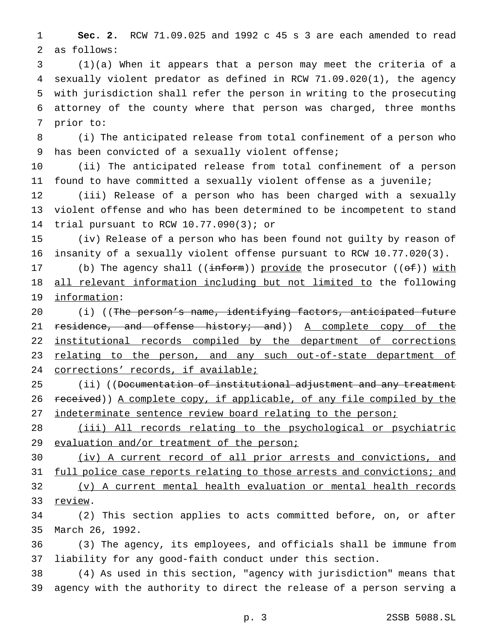**Sec. 2.** RCW 71.09.025 and 1992 c 45 s 3 are each amended to read as follows:

 (1)(a) When it appears that a person may meet the criteria of a sexually violent predator as defined in RCW 71.09.020(1), the agency with jurisdiction shall refer the person in writing to the prosecuting attorney of the county where that person was charged, three months prior to:

 (i) The anticipated release from total confinement of a person who has been convicted of a sexually violent offense;

 (ii) The anticipated release from total confinement of a person found to have committed a sexually violent offense as a juvenile;

 (iii) Release of a person who has been charged with a sexually violent offense and who has been determined to be incompetent to stand trial pursuant to RCW 10.77.090(3); or

 (iv) Release of a person who has been found not guilty by reason of insanity of a sexually violent offense pursuant to RCW 10.77.020(3).

17 (b) The agency shall  $((\text{inf}\text{or})))$  provide the prosecutor  $((\text{of}))$  with all relevant information including but not limited to the following information:

20 (i) ((The person's name, identifying factors, anticipated future 21 residence, and offense history; and)) A complete copy of the institutional records compiled by the department of corrections 23 relating to the person, and any such out-of-state department of corrections' records, if available;

25 (ii) ((<del>Documentation of institutional adjustment and any treatment</del> 26 received)) A complete copy, if applicable, of any file compiled by the 27 indeterminate sentence review board relating to the person;

 (iii) All records relating to the psychological or psychiatric 29 evaluation and/or treatment of the person;

 (iv) A current record of all prior arrests and convictions, and 31 full police case reports relating to those arrests and convictions; and (v) A current mental health evaluation or mental health records 33 review.

 (2) This section applies to acts committed before, on, or after March 26, 1992.

 (3) The agency, its employees, and officials shall be immune from liability for any good-faith conduct under this section.

 (4) As used in this section, "agency with jurisdiction" means that agency with the authority to direct the release of a person serving a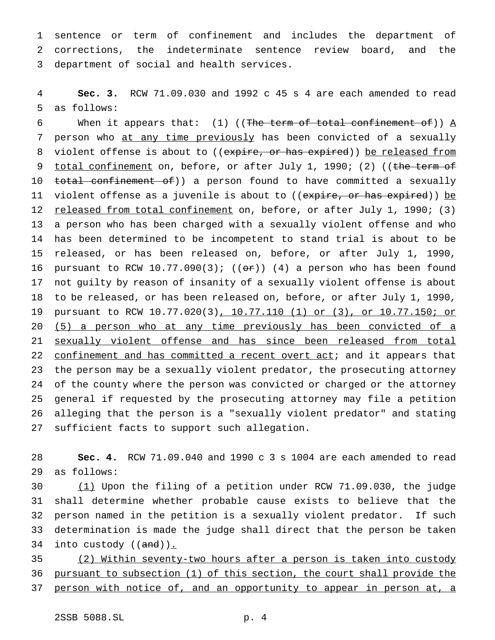sentence or term of confinement and includes the department of corrections, the indeterminate sentence review board, and the department of social and health services.

 **Sec. 3.** RCW 71.09.030 and 1992 c 45 s 4 are each amended to read as follows:

6 When it appears that: (1) ((The term of total confinement of))  $\underline{A}$ 7 person who at any time previously has been convicted of a sexually 8 violent offense is about to ((expire, or has expired)) be released from 9 total confinement on, before, or after July 1, 1990; (2) ((the term of 10 total confinement of)) a person found to have committed a sexually 11 violent offense as a juvenile is about to ((expire, or has expired)) be 12 released from total confinement on, before, or after July 1, 1990; (3) a person who has been charged with a sexually violent offense and who has been determined to be incompetent to stand trial is about to be released, or has been released on, before, or after July 1, 1990, 16 pursuant to RCW 10.77.090(3);  $((or))$  (4) a person who has been found not guilty by reason of insanity of a sexually violent offense is about to be released, or has been released on, before, or after July 1, 1990, pursuant to RCW 10.77.020(3), 10.77.110 (1) or (3), or 10.77.150; or (5) a person who at any time previously has been convicted of a 21 sexually violent offense and has since been released from total 22 confinement and has committed a recent overt act; and it appears that the person may be a sexually violent predator, the prosecuting attorney of the county where the person was convicted or charged or the attorney general if requested by the prosecuting attorney may file a petition alleging that the person is a "sexually violent predator" and stating sufficient facts to support such allegation.

 **Sec. 4.** RCW 71.09.040 and 1990c3s 1004 are each amended to read as follows:

 (1) Upon the filing of a petition under RCW 71.09.030, the judge shall determine whether probable cause exists to believe that the person named in the petition is a sexually violent predator. If such determination is made the judge shall direct that the person be taken 34 into custody  $((and))_{\text{-}}$ 

 (2) Within seventy-two hours after a person is taken into custody pursuant to subsection (1) of this section, the court shall provide the 37 person with notice of, and an opportunity to appear in person at, a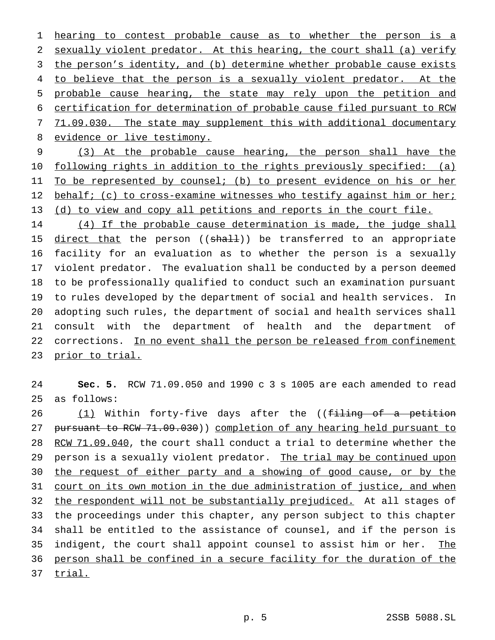hearing to contest probable cause as to whether the person is a sexually violent predator. At this hearing, the court shall (a) verify the person's identity, and (b) determine whether probable cause exists 4 to believe that the person is a sexually violent predator. At the probable cause hearing, the state may rely upon the petition and certification for determination of probable cause filed pursuant to RCW 7 71.09.030. The state may supplement this with additional documentary 8 evidence or live testimony.

9 (3) At the probable cause hearing, the person shall have the 10 following rights in addition to the rights previously specified: (a) 11 To be represented by counsel; (b) to present evidence on his or her 12 behalf; (c) to cross-examine witnesses who testify against him or her; 13 (d) to view and copy all petitions and reports in the court file.

 (4) If the probable cause determination is made, the judge shall 15 direct that the person ((shall)) be transferred to an appropriate facility for an evaluation as to whether the person is a sexually violent predator. The evaluation shall be conducted by a person deemed to be professionally qualified to conduct such an examination pursuant to rules developed by the department of social and health services. In adopting such rules, the department of social and health services shall consult with the department of health and the department of corrections. In no event shall the person be released from confinement 23 prior to trial.

24 **Sec. 5.** RCW 71.09.050 and 1990c3s 1005 are each amended to read 25 as follows:

26 (1) Within forty-five days after the ((filing of a petition 27 pursuant to RCW 71.09.030)) completion of any hearing held pursuant to 28 RCW 71.09.040, the court shall conduct a trial to determine whether the 29 person is a sexually violent predator. The trial may be continued upon 30 the request of either party and a showing of good cause, or by the 31 court on its own motion in the due administration of justice, and when 32 the respondent will not be substantially prejudiced. At all stages of 33 the proceedings under this chapter, any person subject to this chapter 34 shall be entitled to the assistance of counsel, and if the person is 35 indigent, the court shall appoint counsel to assist him or her. The 36 person shall be confined in a secure facility for the duration of the 37 trial.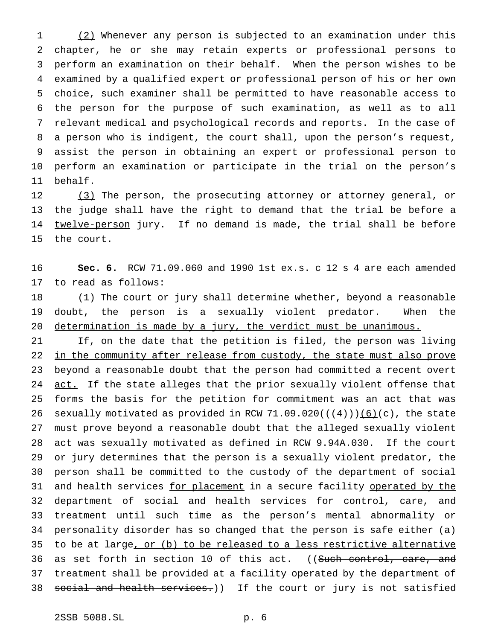1 (2) Whenever any person is subjected to an examination under this chapter, he or she may retain experts or professional persons to perform an examination on their behalf. When the person wishes to be examined by a qualified expert or professional person of his or her own choice, such examiner shall be permitted to have reasonable access to the person for the purpose of such examination, as well as to all relevant medical and psychological records and reports. In the case of a person who is indigent, the court shall, upon the person's request, assist the person in obtaining an expert or professional person to perform an examination or participate in the trial on the person's 11 behalf.

12 (3) The person, the prosecuting attorney or attorney general, or 13 the judge shall have the right to demand that the trial be before a 14 twelve-person jury. If no demand is made, the trial shall be before 15 the court.

16 **Sec. 6.** RCW 71.09.060 and 1990 1st ex.s. c 12 s 4 are each amended 17 to read as follows:

18 (1) The court or jury shall determine whether, beyond a reasonable 19 doubt, the person is a sexually violent predator. When the 20 determination is made by a jury, the verdict must be unanimous.

21 If, on the date that the petition is filed, the person was living 22 in the community after release from custody, the state must also prove 23 beyond a reasonable doubt that the person had committed a recent overt 24 act. If the state alleges that the prior sexually violent offense that 25 forms the basis for the petition for commitment was an act that was 26 sexually motivated as provided in RCW 71.09.020( $(\frac{4}{3})$ )(6)(c), the state 27 must prove beyond a reasonable doubt that the alleged sexually violent 28 act was sexually motivated as defined in RCW 9.94A.030. If the court 29 or jury determines that the person is a sexually violent predator, the 30 person shall be committed to the custody of the department of social 31 and health services for placement in a secure facility operated by the 32 department of social and health services for control, care, and 33 treatment until such time as the person's mental abnormality or 34 personality disorder has so changed that the person is safe either (a) 35 to be at large, or (b) to be released to a less restrictive alternative 36 as set forth in section 10 of this act. ((Such control, care, and 37 treatment shall be provided at a facility operated by the department of 38 social and health services.)) If the court or jury is not satisfied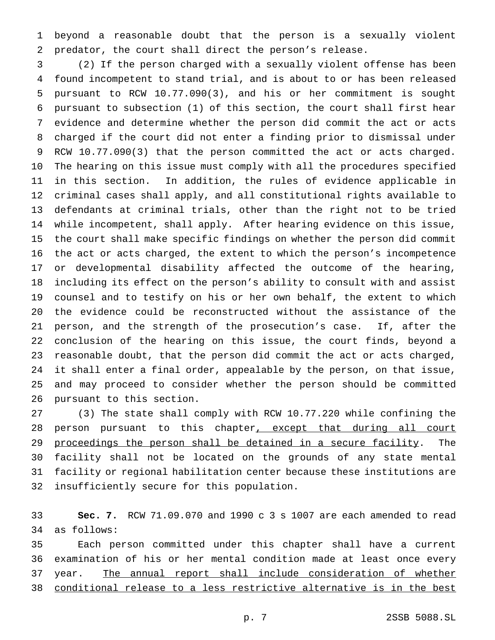beyond a reasonable doubt that the person is a sexually violent predator, the court shall direct the person's release.

 (2) If the person charged with a sexually violent offense has been found incompetent to stand trial, and is about to or has been released pursuant to RCW 10.77.090(3), and his or her commitment is sought pursuant to subsection (1) of this section, the court shall first hear evidence and determine whether the person did commit the act or acts charged if the court did not enter a finding prior to dismissal under RCW 10.77.090(3) that the person committed the act or acts charged. The hearing on this issue must comply with all the procedures specified in this section. In addition, the rules of evidence applicable in criminal cases shall apply, and all constitutional rights available to defendants at criminal trials, other than the right not to be tried while incompetent, shall apply. After hearing evidence on this issue, the court shall make specific findings on whether the person did commit the act or acts charged, the extent to which the person's incompetence or developmental disability affected the outcome of the hearing, including its effect on the person's ability to consult with and assist counsel and to testify on his or her own behalf, the extent to which the evidence could be reconstructed without the assistance of the person, and the strength of the prosecution's case. If, after the conclusion of the hearing on this issue, the court finds, beyond a reasonable doubt, that the person did commit the act or acts charged, it shall enter a final order, appealable by the person, on that issue, and may proceed to consider whether the person should be committed pursuant to this section.

 (3) The state shall comply with RCW 10.77.220 while confining the 28 person pursuant to this chapter<u>, except that during all court</u> 29 proceedings the person shall be detained in a secure facility. The facility shall not be located on the grounds of any state mental facility or regional habilitation center because these institutions are insufficiently secure for this population.

 **Sec. 7.** RCW 71.09.070 and 1990c3s 1007 are each amended to read as follows:

 Each person committed under this chapter shall have a current examination of his or her mental condition made at least once every year. The annual report shall include consideration of whether conditional release to a less restrictive alternative is in the best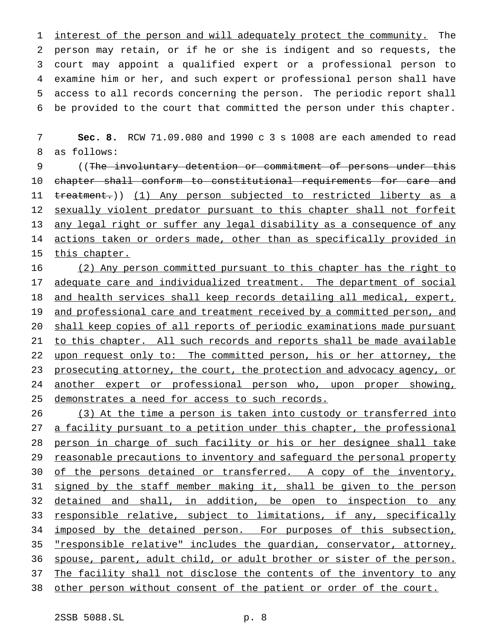1 interest of the person and will adequately protect the community. The person may retain, or if he or she is indigent and so requests, the court may appoint a qualified expert or a professional person to examine him or her, and such expert or professional person shall have access to all records concerning the person. The periodic report shall be provided to the court that committed the person under this chapter.

7 **Sec. 8.** RCW 71.09.080 and 1990c3s 1008 are each amended to read 8 as follows:

9 ((The involuntary detention or commitment of persons under this 10 chapter shall conform to constitutional requirements for care and 11 treatment.)) (1) Any person subjected to restricted liberty as a 12 sexually violent predator pursuant to this chapter shall not forfeit 13 any legal right or suffer any legal disability as a consequence of any 14 actions taken or orders made, other than as specifically provided in 15 this chapter.

16 (2) Any person committed pursuant to this chapter has the right to 17 adequate care and individualized treatment. The department of social 18 and health services shall keep records detailing all medical, expert, 19 and professional care and treatment received by a committed person, and 20 shall keep copies of all reports of periodic examinations made pursuant 21 to this chapter. All such records and reports shall be made available 22 upon request only to: The committed person, his or her attorney, the 23 prosecuting attorney, the court, the protection and advocacy agency, or 24 another expert or professional person who, upon proper showing, 25 demonstrates a need for access to such records.

26 (3) At the time a person is taken into custody or transferred into 27 a facility pursuant to a petition under this chapter, the professional 28 person in charge of such facility or his or her designee shall take 29 reasonable precautions to inventory and safeguard the personal property 30 of the persons detained or transferred. A copy of the inventory, 31 signed by the staff member making it, shall be given to the person 32 detained and shall, in addition, be open to inspection to any 33 responsible relative, subject to limitations, if any, specifically 34 imposed by the detained person. For purposes of this subsection, 35 "responsible relative" includes the guardian, conservator, attorney, 36 spouse, parent, adult child, or adult brother or sister of the person. 37 The facility shall not disclose the contents of the inventory to any 38 other person without consent of the patient or order of the court.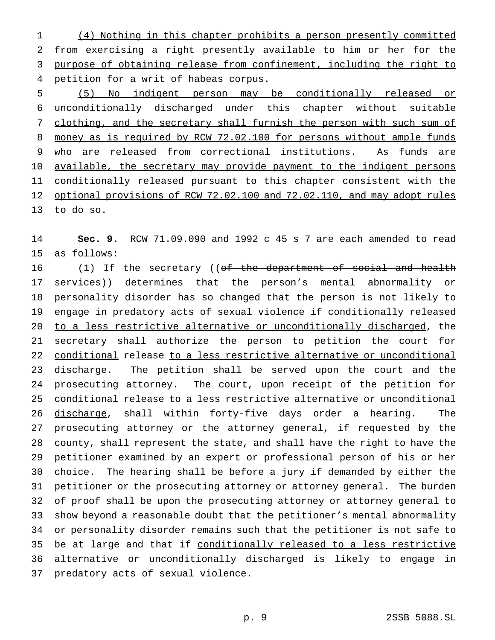(4) Nothing in this chapter prohibits a person presently committed from exercising a right presently available to him or her for the purpose of obtaining release from confinement, including the right to petition for a writ of habeas corpus.

 (5) No indigent person may be conditionally released or unconditionally discharged under this chapter without suitable 7 clothing, and the secretary shall furnish the person with such sum of 8 money as is required by RCW 72.02.100 for persons without ample funds who are released from correctional institutions. As funds are 10 available, the secretary may provide payment to the indigent persons 11 conditionally released pursuant to this chapter consistent with the optional provisions of RCW 72.02.100 and 72.02.110, and may adopt rules to do so.

 **Sec. 9.** RCW 71.09.090 and 1992 c 45 s 7 are each amended to read as follows:

16 (1) If the secretary ((of the department of social and health 17 services)) determines that the person's mental abnormality or personality disorder has so changed that the person is not likely to engage in predatory acts of sexual violence if conditionally released to a less restrictive alternative or unconditionally discharged, the secretary shall authorize the person to petition the court for conditional release to a less restrictive alternative or unconditional 23 discharge. The petition shall be served upon the court and the prosecuting attorney. The court, upon receipt of the petition for conditional release to a less restrictive alternative or unconditional discharge, shall within forty-five days order a hearing. The prosecuting attorney or the attorney general, if requested by the county, shall represent the state, and shall have the right to have the petitioner examined by an expert or professional person of his or her choice. The hearing shall be before a jury if demanded by either the petitioner or the prosecuting attorney or attorney general. The burden of proof shall be upon the prosecuting attorney or attorney general to show beyond a reasonable doubt that the petitioner's mental abnormality or personality disorder remains such that the petitioner is not safe to 35 be at large and that if conditionally released to a less restrictive alternative or unconditionally discharged is likely to engage in predatory acts of sexual violence.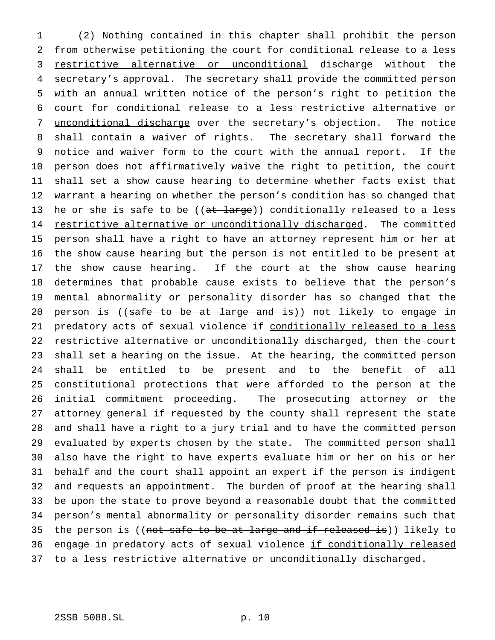(2) Nothing contained in this chapter shall prohibit the person from otherwise petitioning the court for conditional release to a less 3 restrictive alternative or unconditional discharge without the secretary's approval. The secretary shall provide the committed person with an annual written notice of the person's right to petition the court for conditional release to a less restrictive alternative or 7 unconditional discharge over the secretary's objection. The notice shall contain a waiver of rights. The secretary shall forward the notice and waiver form to the court with the annual report. If the person does not affirmatively waive the right to petition, the court shall set a show cause hearing to determine whether facts exist that warrant a hearing on whether the person's condition has so changed that 13 he or she is safe to be ((at large)) conditionally released to a less 14 restrictive alternative or unconditionally discharged. The committed person shall have a right to have an attorney represent him or her at the show cause hearing but the person is not entitled to be present at the show cause hearing. If the court at the show cause hearing determines that probable cause exists to believe that the person's mental abnormality or personality disorder has so changed that the 20 person is ((safe to be at large and is)) not likely to engage in 21 predatory acts of sexual violence if conditionally released to a less 22 restrictive alternative or unconditionally discharged, then the court shall set a hearing on the issue. At the hearing, the committed person shall be entitled to be present and to the benefit of all constitutional protections that were afforded to the person at the initial commitment proceeding. The prosecuting attorney or the attorney general if requested by the county shall represent the state and shall have a right to a jury trial and to have the committed person evaluated by experts chosen by the state. The committed person shall also have the right to have experts evaluate him or her on his or her behalf and the court shall appoint an expert if the person is indigent and requests an appointment. The burden of proof at the hearing shall be upon the state to prove beyond a reasonable doubt that the committed person's mental abnormality or personality disorder remains such that 35 the person is ((not safe to be at large and if released is)) likely to 36 engage in predatory acts of sexual violence if conditionally released 37 to a less restrictive alternative or unconditionally discharged.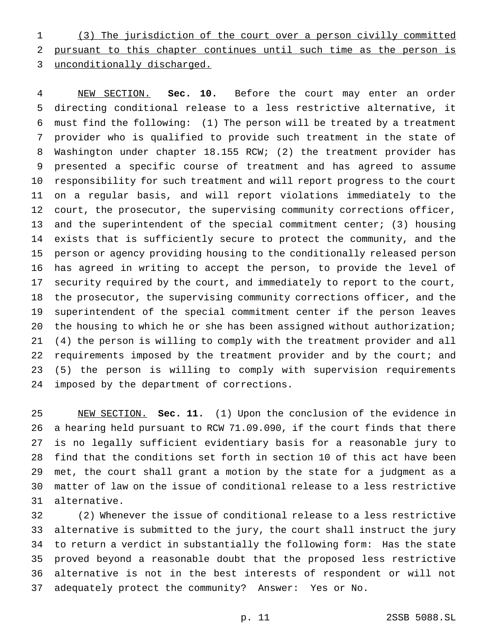(3) The jurisdiction of the court over a person civilly committed pursuant to this chapter continues until such time as the person is unconditionally discharged.

 NEW SECTION. **Sec. 10.** Before the court may enter an order directing conditional release to a less restrictive alternative, it must find the following: (1) The person will be treated by a treatment provider who is qualified to provide such treatment in the state of Washington under chapter 18.155 RCW; (2) the treatment provider has presented a specific course of treatment and has agreed to assume responsibility for such treatment and will report progress to the court on a regular basis, and will report violations immediately to the court, the prosecutor, the supervising community corrections officer, and the superintendent of the special commitment center; (3) housing exists that is sufficiently secure to protect the community, and the person or agency providing housing to the conditionally released person has agreed in writing to accept the person, to provide the level of security required by the court, and immediately to report to the court, the prosecutor, the supervising community corrections officer, and the superintendent of the special commitment center if the person leaves 20 the housing to which he or she has been assigned without authorization; (4) the person is willing to comply with the treatment provider and all 22 requirements imposed by the treatment provider and by the court; and (5) the person is willing to comply with supervision requirements imposed by the department of corrections.

 NEW SECTION. **Sec. 11.** (1) Upon the conclusion of the evidence in a hearing held pursuant to RCW 71.09.090, if the court finds that there is no legally sufficient evidentiary basis for a reasonable jury to find that the conditions set forth in section 10 of this act have been met, the court shall grant a motion by the state for a judgment as a matter of law on the issue of conditional release to a less restrictive alternative.

 (2) Whenever the issue of conditional release to a less restrictive alternative is submitted to the jury, the court shall instruct the jury to return a verdict in substantially the following form: Has the state proved beyond a reasonable doubt that the proposed less restrictive alternative is not in the best interests of respondent or will not adequately protect the community? Answer: Yes or No.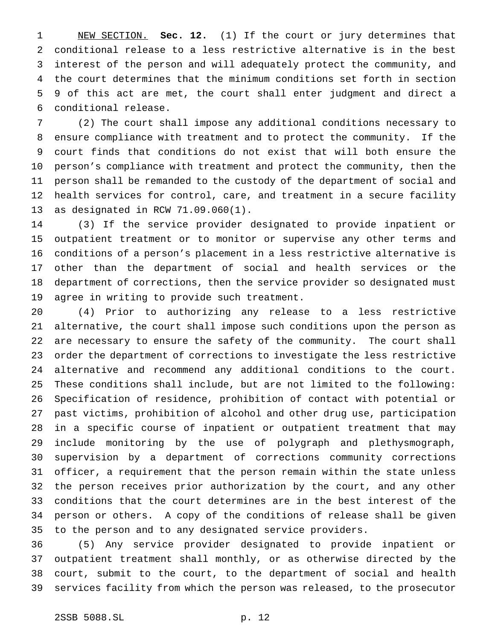NEW SECTION. **Sec. 12.** (1) If the court or jury determines that conditional release to a less restrictive alternative is in the best interest of the person and will adequately protect the community, and the court determines that the minimum conditions set forth in section 9 of this act are met, the court shall enter judgment and direct a conditional release.

 (2) The court shall impose any additional conditions necessary to ensure compliance with treatment and to protect the community. If the court finds that conditions do not exist that will both ensure the person's compliance with treatment and protect the community, then the person shall be remanded to the custody of the department of social and health services for control, care, and treatment in a secure facility as designated in RCW 71.09.060(1).

 (3) If the service provider designated to provide inpatient or outpatient treatment or to monitor or supervise any other terms and conditions of a person's placement in a less restrictive alternative is other than the department of social and health services or the department of corrections, then the service provider so designated must agree in writing to provide such treatment.

 (4) Prior to authorizing any release to a less restrictive alternative, the court shall impose such conditions upon the person as are necessary to ensure the safety of the community. The court shall order the department of corrections to investigate the less restrictive alternative and recommend any additional conditions to the court. These conditions shall include, but are not limited to the following: Specification of residence, prohibition of contact with potential or past victims, prohibition of alcohol and other drug use, participation in a specific course of inpatient or outpatient treatment that may include monitoring by the use of polygraph and plethysmograph, supervision by a department of corrections community corrections officer, a requirement that the person remain within the state unless the person receives prior authorization by the court, and any other conditions that the court determines are in the best interest of the person or others. A copy of the conditions of release shall be given to the person and to any designated service providers.

 (5) Any service provider designated to provide inpatient or outpatient treatment shall monthly, or as otherwise directed by the court, submit to the court, to the department of social and health services facility from which the person was released, to the prosecutor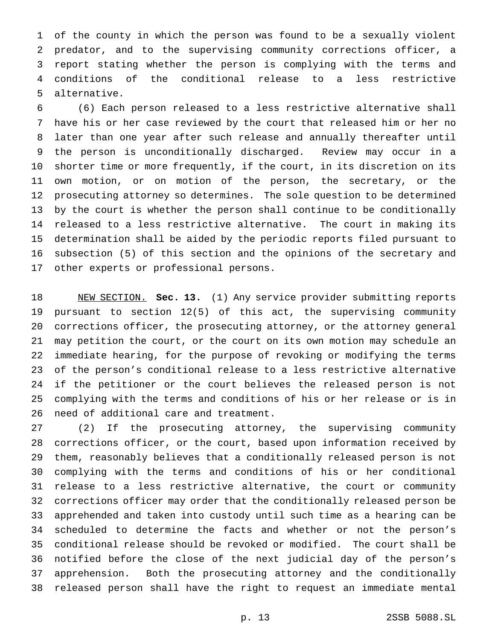of the county in which the person was found to be a sexually violent predator, and to the supervising community corrections officer, a report stating whether the person is complying with the terms and conditions of the conditional release to a less restrictive alternative.

 (6) Each person released to a less restrictive alternative shall have his or her case reviewed by the court that released him or her no later than one year after such release and annually thereafter until the person is unconditionally discharged. Review may occur in a shorter time or more frequently, if the court, in its discretion on its own motion, or on motion of the person, the secretary, or the prosecuting attorney so determines. The sole question to be determined by the court is whether the person shall continue to be conditionally released to a less restrictive alternative. The court in making its determination shall be aided by the periodic reports filed pursuant to subsection (5) of this section and the opinions of the secretary and other experts or professional persons.

 NEW SECTION. **Sec. 13.** (1) Any service provider submitting reports pursuant to section 12(5) of this act, the supervising community corrections officer, the prosecuting attorney, or the attorney general may petition the court, or the court on its own motion may schedule an immediate hearing, for the purpose of revoking or modifying the terms of the person's conditional release to a less restrictive alternative if the petitioner or the court believes the released person is not complying with the terms and conditions of his or her release or is in need of additional care and treatment.

 (2) If the prosecuting attorney, the supervising community corrections officer, or the court, based upon information received by them, reasonably believes that a conditionally released person is not complying with the terms and conditions of his or her conditional release to a less restrictive alternative, the court or community corrections officer may order that the conditionally released person be apprehended and taken into custody until such time as a hearing can be scheduled to determine the facts and whether or not the person's conditional release should be revoked or modified. The court shall be notified before the close of the next judicial day of the person's apprehension. Both the prosecuting attorney and the conditionally released person shall have the right to request an immediate mental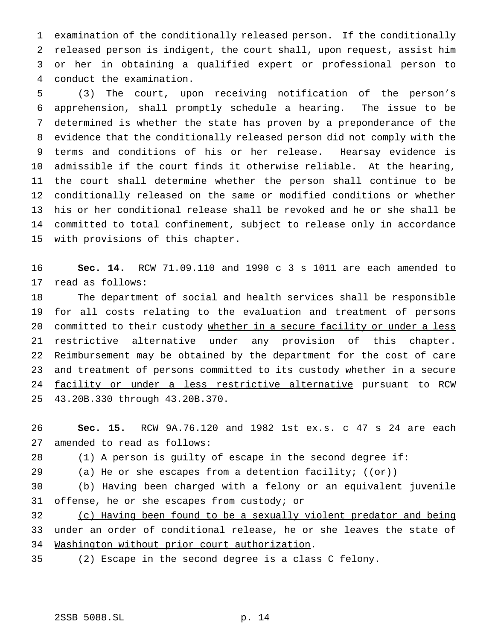examination of the conditionally released person. If the conditionally released person is indigent, the court shall, upon request, assist him or her in obtaining a qualified expert or professional person to conduct the examination.

 (3) The court, upon receiving notification of the person's apprehension, shall promptly schedule a hearing. The issue to be determined is whether the state has proven by a preponderance of the evidence that the conditionally released person did not comply with the terms and conditions of his or her release. Hearsay evidence is admissible if the court finds it otherwise reliable. At the hearing, the court shall determine whether the person shall continue to be conditionally released on the same or modified conditions or whether his or her conditional release shall be revoked and he or she shall be committed to total confinement, subject to release only in accordance with provisions of this chapter.

 **Sec. 14.** RCW 71.09.110 and 1990 c 3 s 1011 are each amended to read as follows:

 The department of social and health services shall be responsible for all costs relating to the evaluation and treatment of persons 20 committed to their custody whether in a secure facility or under a less 21 restrictive alternative under any provision of this chapter. Reimbursement may be obtained by the department for the cost of care 23 and treatment of persons committed to its custody whether in a secure 24 facility or under a less restrictive alternative pursuant to RCW 43.20B.330 through 43.20B.370.

 **Sec. 15.** RCW 9A.76.120 and 1982 1st ex.s. c 47 s 24 are each amended to read as follows:

(1) A person is guilty of escape in the second degree if:

29 (a) He  $or she$  escapes from a detention facility;  $((e<sub>r</sub>))$ </u>

 (b) Having been charged with a felony or an equivalent juvenile 31 offense, he or she escapes from custody; or

 (c) Having been found to be a sexually violent predator and being under an order of conditional release, he or she leaves the state of Washington without prior court authorization.

(2) Escape in the second degree is a class C felony.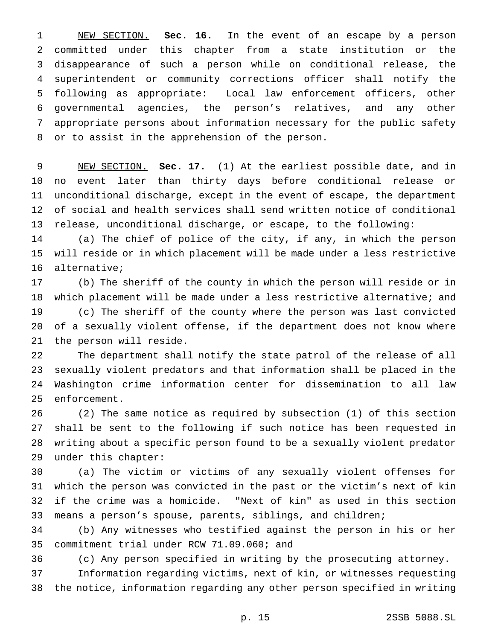NEW SECTION. **Sec. 16.** In the event of an escape by a person committed under this chapter from a state institution or the disappearance of such a person while on conditional release, the superintendent or community corrections officer shall notify the following as appropriate: Local law enforcement officers, other governmental agencies, the person's relatives, and any other appropriate persons about information necessary for the public safety or to assist in the apprehension of the person.

 NEW SECTION. **Sec. 17.** (1) At the earliest possible date, and in no event later than thirty days before conditional release or unconditional discharge, except in the event of escape, the department of social and health services shall send written notice of conditional release, unconditional discharge, or escape, to the following:

 (a) The chief of police of the city, if any, in which the person will reside or in which placement will be made under a less restrictive alternative;

 (b) The sheriff of the county in which the person will reside or in which placement will be made under a less restrictive alternative; and (c) The sheriff of the county where the person was last convicted of a sexually violent offense, if the department does not know where the person will reside.

 The department shall notify the state patrol of the release of all sexually violent predators and that information shall be placed in the Washington crime information center for dissemination to all law enforcement.

 (2) The same notice as required by subsection (1) of this section shall be sent to the following if such notice has been requested in writing about a specific person found to be a sexually violent predator under this chapter:

 (a) The victim or victims of any sexually violent offenses for which the person was convicted in the past or the victim's next of kin if the crime was a homicide. "Next of kin" as used in this section means a person's spouse, parents, siblings, and children;

 (b) Any witnesses who testified against the person in his or her commitment trial under RCW 71.09.060; and

(c) Any person specified in writing by the prosecuting attorney.

 Information regarding victims, next of kin, or witnesses requesting the notice, information regarding any other person specified in writing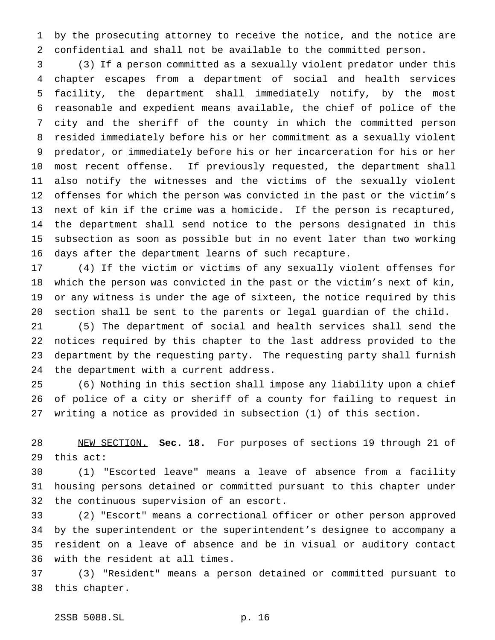by the prosecuting attorney to receive the notice, and the notice are confidential and shall not be available to the committed person.

 (3) If a person committed as a sexually violent predator under this chapter escapes from a department of social and health services facility, the department shall immediately notify, by the most reasonable and expedient means available, the chief of police of the city and the sheriff of the county in which the committed person resided immediately before his or her commitment as a sexually violent predator, or immediately before his or her incarceration for his or her most recent offense. If previously requested, the department shall also notify the witnesses and the victims of the sexually violent offenses for which the person was convicted in the past or the victim's next of kin if the crime was a homicide. If the person is recaptured, the department shall send notice to the persons designated in this subsection as soon as possible but in no event later than two working days after the department learns of such recapture.

 (4) If the victim or victims of any sexually violent offenses for which the person was convicted in the past or the victim's next of kin, or any witness is under the age of sixteen, the notice required by this section shall be sent to the parents or legal guardian of the child.

 (5) The department of social and health services shall send the notices required by this chapter to the last address provided to the department by the requesting party. The requesting party shall furnish the department with a current address.

 (6) Nothing in this section shall impose any liability upon a chief of police of a city or sheriff of a county for failing to request in writing a notice as provided in subsection (1) of this section.

 NEW SECTION. **Sec. 18.** For purposes of sections 19 through 21 of this act:

 (1) "Escorted leave" means a leave of absence from a facility housing persons detained or committed pursuant to this chapter under the continuous supervision of an escort.

 (2) "Escort" means a correctional officer or other person approved by the superintendent or the superintendent's designee to accompany a resident on a leave of absence and be in visual or auditory contact with the resident at all times.

 (3) "Resident" means a person detained or committed pursuant to this chapter.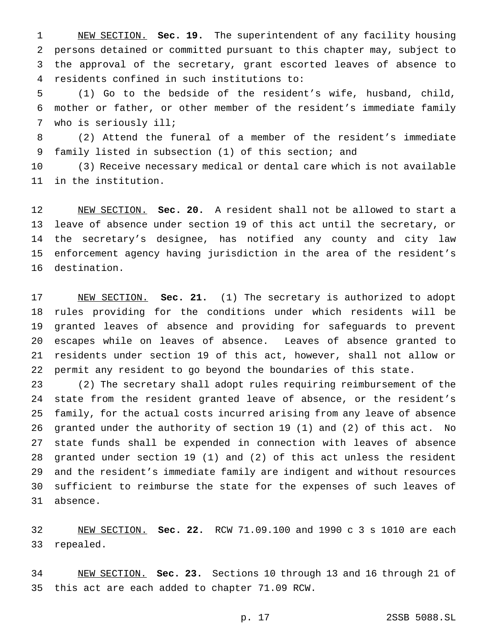NEW SECTION. **Sec. 19.** The superintendent of any facility housing persons detained or committed pursuant to this chapter may, subject to the approval of the secretary, grant escorted leaves of absence to residents confined in such institutions to:

 (1) Go to the bedside of the resident's wife, husband, child, mother or father, or other member of the resident's immediate family who is seriously ill;

 (2) Attend the funeral of a member of the resident's immediate family listed in subsection (1) of this section; and

 (3) Receive necessary medical or dental care which is not available in the institution.

 NEW SECTION. **Sec. 20.** A resident shall not be allowed to start a leave of absence under section 19 of this act until the secretary, or the secretary's designee, has notified any county and city law enforcement agency having jurisdiction in the area of the resident's destination.

 NEW SECTION. **Sec. 21.** (1) The secretary is authorized to adopt rules providing for the conditions under which residents will be granted leaves of absence and providing for safeguards to prevent escapes while on leaves of absence. Leaves of absence granted to residents under section 19 of this act, however, shall not allow or permit any resident to go beyond the boundaries of this state.

 (2) The secretary shall adopt rules requiring reimbursement of the state from the resident granted leave of absence, or the resident's family, for the actual costs incurred arising from any leave of absence granted under the authority of section 19 (1) and (2) of this act. No state funds shall be expended in connection with leaves of absence granted under section 19 (1) and (2) of this act unless the resident and the resident's immediate family are indigent and without resources sufficient to reimburse the state for the expenses of such leaves of absence.

 NEW SECTION. **Sec. 22.** RCW 71.09.100 and 1990c3s 1010 are each repealed.

 NEW SECTION. **Sec. 23.** Sections 10 through 13 and 16 through 21 of this act are each added to chapter 71.09 RCW.